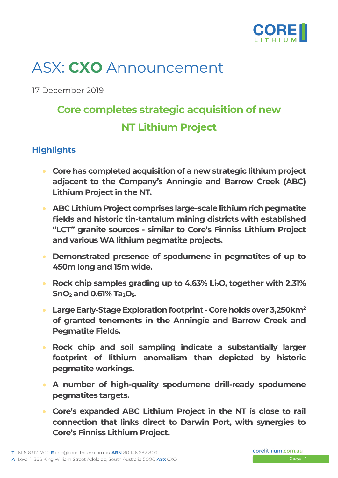

# ASX: **CXO** Announcement

17 December 2019

## **Core completes strategic acquisition of new NT Lithium Project**

### **Highlights**

- **Core has completed acquisition of a new strategic lithium project adjacent to the Company's Anningie and Barrow Creek (ABC) Lithium Project in the NT.**
- **ABC Lithium Project comprises large-scale lithium rich pegmatite fields and historic tin-tantalum mining districts with established "LCT" granite sources - similar to Core's Finniss Lithium Project and various WA lithium pegmatite projects.**
- **Demonstrated presence of spodumene in pegmatites of up to 450m long and 15m wide.**
- **Rock chip samples grading up to 4.63% Li2O, together with 2.31% SnO<sup>2</sup> and 0.61% Ta2O5.**
- **Large Early-StageExploration footprint -Core holdsover 3,250km<sup>2</sup> of granted tenements in the Anningie and Barrow Creek and Pegmatite Fields.**
- **Rock chip and soil sampling indicate a substantially larger footprint of lithium anomalism than depicted by historic pegmatite workings.**
- **A number of high-quality spodumene drill-ready spodumene pegmatites targets.**
- **Core's expanded ABC Lithium Project in the NT is close to rail connection that links direct to Darwin Port, with synergies to Core's Finniss Lithium Project.**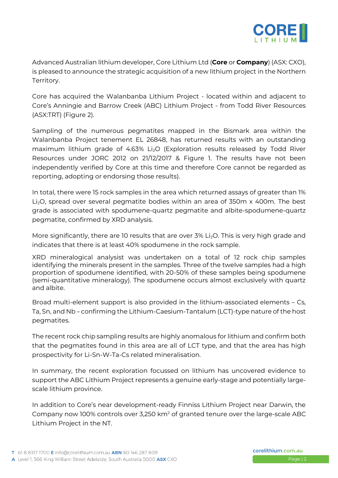

Advanced Australian lithium developer, Core Lithium Ltd (**Core** or **Company**) (ASX: CXO), is pleased to announce the strategic acquisition of a new lithium project in the Northern Territory.

Core has acquired the Walanbanba Lithium Project - located within and adjacent to Core's Anningie and Barrow Creek (ABC) Lithium Project - from Todd River Resources (ASX:TRT) (Figure 2).

Sampling of the numerous pegmatites mapped in the Bismark area within the Walanbanba Project tenement EL 26848, has returned results with an outstanding maximum lithium grade of 4.63% Li<sub>2</sub>O (Exploration results released by Todd River Resources under JORC 2012 on 21/12/2017 & Figure 1. The results have not been independently verified by Core at this time and therefore Core cannot be regarded as reporting, adopting or endorsing those results).

In total, there were 15 rock samples in the area which returned assays of greater than 1% Li<sub>2</sub>O, spread over several pegmatite bodies within an area of 350m x 400m. The best grade is associated with spodumene-quartz pegmatite and albite-spodumene-quartz pegmatite, confirmed by XRD analysis.

More significantly, there are 10 results that are over 3% Li<sub>2</sub>O. This is very high grade and indicates that there is at least 40% spodumene in the rock sample.

XRD mineralogical analysist was undertaken on a total of 12 rock chip samples identifying the minerals present in the samples. Three of the twelve samples had a high proportion of spodumene identified, with 20-50% of these samples being spodumene (semi-quantitative mineralogy). The spodumene occurs almost exclusively with quartz and albite.

Broad multi-element support is also provided in the lithium-associated elements – Cs, Ta, Sn, and Nb – confirming the Lithium-Caesium-Tantalum (LCT)-type nature of the host pegmatites.

The recent rock chip sampling results are highly anomalous for lithium and confirm both that the pegmatites found in this area are all of LCT type, and that the area has high prospectivity for Li-Sn-W-Ta-Cs related mineralisation.

In summary, the recent exploration focussed on lithium has uncovered evidence to support the ABC Lithium Project represents a genuine early-stage and potentially largescale lithium province.

In addition to Core's near development-ready Finniss Lithium Project near Darwin, the Company now 100% controls over 3,250 km<sup>2</sup> of granted tenure over the large-scale ABC Lithium Project in the NT.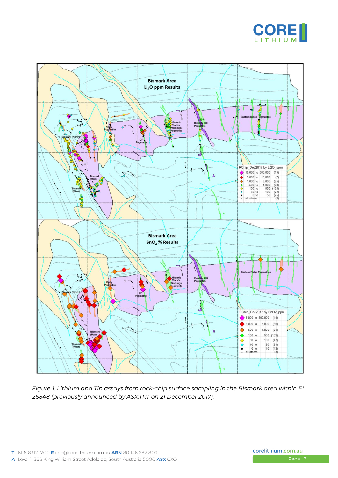



*Figure 1. Lithium and Tin assays from rock-chip surface sampling in the Bismark area within EL 26848 (previously announced by ASX:TRT on 21 December 2017).*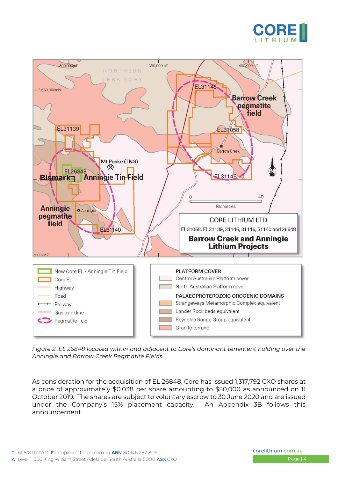



*Figure 2. EL 26848 located within and adjacent to Core's dominant tenement holding over the Anningie and Barrow Creek Pegmatite Fields.*

As consideration for the acquisition of EL 26848, Core has issued 1,317,792 CXO shares at a price of approximately \$0.038 per share amounting to \$50,000 as announced on 11 October 2019. The shares are subject to voluntary escrow to 30 June 2020 and are issued under the Company's 15% placement capacity. An Appendix 3B follows this announcement.